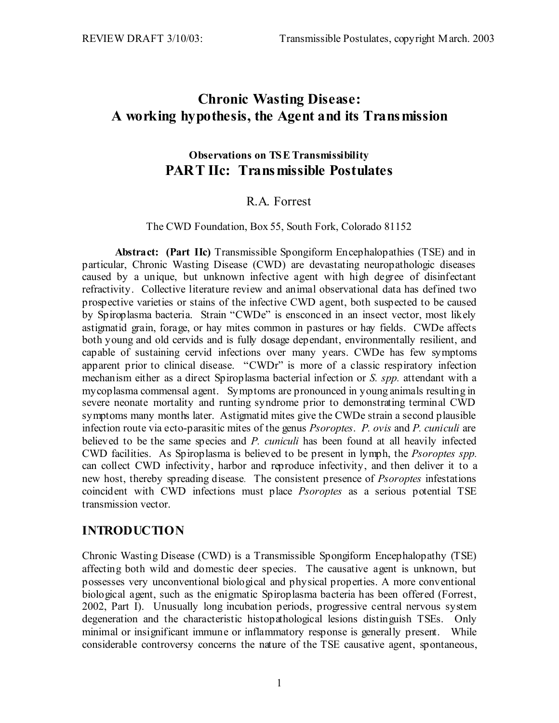# **Chronic Wasting Disease: A working hypothesis, the Agent and its Transmission**

### **Observations on TSE Transmissibility PART IIc: Transmissible Postulates**

### R.A. Forrest

#### The CWD Foundation, Box 55, South Fork, Colorado 81152

**Abstract: (Part IIc)** Transmissible Spongiform Encephalopathies (TSE) and in particular, Chronic Wasting Disease (CWD) are devastating neuropathologic diseases caused by a unique, but unknown infective agent with high degree of disinfectant refractivity. Collective literature review and animal observational data has defined two prospective varieties or stains of the infective CWD agent, both suspected to be caused by Spiroplasma bacteria. Strain "CWDe" is ensconced in an insect vector, most likely astigmatid grain, forage, or hay mites common in pastures or hay fields. CWDe affects both young and old cervids and is fully dosage dependant, environmentally resilient, and capable of sustaining cervid infections over many years. CWDe has few symptoms apparent prior to clinical disease. "CWDr" is more of a classic respiratory infection mechanism either as a direct Spiroplasma bacterial infection or *S. spp.* attendant with a mycoplasma commensal agent. Symptoms are pronounced in young animals resulting in severe neonate mortality and runting syndrome prior to demonstrating terminal CWD symptoms many months later. Astigmatid mites give the CWDe strain a second plausible infection route via ecto-parasitic mites of the genus *Psoroptes*. *P. ovis* and *P. cuniculi* are believed to be the same species and *P. cuniculi* has been found at all heavily infected CWD facilities. As Spiroplasma is believed to be present in lymph, the *Psoroptes spp.* can collect CWD infectivity, harbor and reproduce infectivity, and then deliver it to a new host, thereby spreading disease. The consistent presence of *Psoroptes* infestations coincident with CWD infections must place *Psoroptes* as a serious potential TSE transmission vector.

### **INTRODUCTION**

Chronic Wasting Disease (CWD) is a Transmissible Spongiform Encephalopathy (TSE) affecting both wild and domestic deer species. The causative agent is unknown, but possesses very unconventional biological and physical properties. A more conventional biological agent, such as the enigmatic Spiroplasma bacteria has been offered (Forrest, 2002, Part I). Unusually long incubation periods, progressive central nervous system degeneration and the characteristic histopathological lesions distinguish TSEs. Only minimal or insignificant immune or inflammatory response is generally present. While considerable controversy concerns the nature of the TSE causative agent, spontaneous,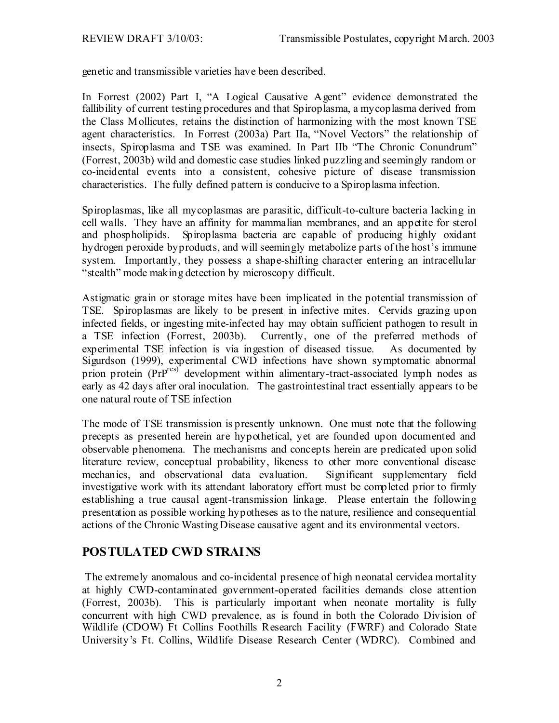genetic and transmissible varieties have been described.

In Forrest (2002) Part I, "A Logical Causative Agent" evidence demonstrated the fallibility of current testing procedures and that Spiroplasma, a mycoplasma derived from the Class Mollicutes, retains the distinction of harmonizing with the most known TSE agent characteristics. In Forrest (2003a) Part IIa, "Novel Vectors" the relationship of insects, Spiroplasma and TSE was examined. In Part IIb "The Chronic Conundrum" (Forrest, 2003b) wild and domestic case studies linked puzzling and seemingly random or co-incidental events into a consistent, cohesive picture of disease transmission characteristics. The fully defined pattern is conducive to a Spiroplasma infection.

Spiroplasmas, like all mycoplasmas are parasitic, difficult-to-culture bacteria lacking in cell walls. They have an affinity for mammalian membranes, and an appetite for sterol and phospholipids. Spiroplasma bacteria are capable of producing highly oxidant hydrogen peroxide byproducts, and will seemingly metabolize parts of the host's immune system. Importantly, they possess a shape-shifting character entering an intracellular "stealth" mode making detection by microscopy difficult.

Astigmatic grain or storage mites have been implicated in the potential transmission of TSE. Spiroplasmas are likely to be present in infective mites. Cervids grazing upon infected fields, or ingesting mite-infected hay may obtain sufficient pathogen to result in a TSE infection (Forrest, 2003b). Currently, one of the preferred methods of experimental TSE infection is via ingestion of diseased tissue. As documented by Sigurdson (1999), experimental CWD infections have shown symptomatic abnormal prion protein (PrP<sup>res)</sup> development within alimentary-tract-associated lymph nodes as early as 42 days after oral inoculation. The gastrointestinal tract essentially appears to be one natural route of TSE infection

The mode of TSE transmission is presently unknown. One must note that the following precepts as presented herein are hypothetical, yet are founded upon documented and observable phenomena. The mechanisms and concepts herein are predicated upon solid literature review, conceptual probability, likeness to other more conventional disease mechanics, and observational data evaluation. Significant supplementary field investigative work with its attendant laboratory effort must be completed prior to firmly establishing a true causal agent-transmission linkage. Please entertain the following presentation as possible working hypotheses as to the nature, resilience and consequential actions of the Chronic Wasting Disease causative agent and its environmental vectors.

# **POSTULATED CWD STRAINS**

 The extremely anomalous and co-incidental presence of high neonatal cervidea mortality at highly CWD-contaminated government-operated facilities demands close attention (Forrest, 2003b). This is particularly important when neonate mortality is fully concurrent with high CWD prevalence, as is found in both the Colorado Division of Wildlife (CDOW) Ft Collins Foothills Research Facility (FWRF) and Colorado State University's Ft. Collins, Wildlife Disease Research Center (WDRC). Combined and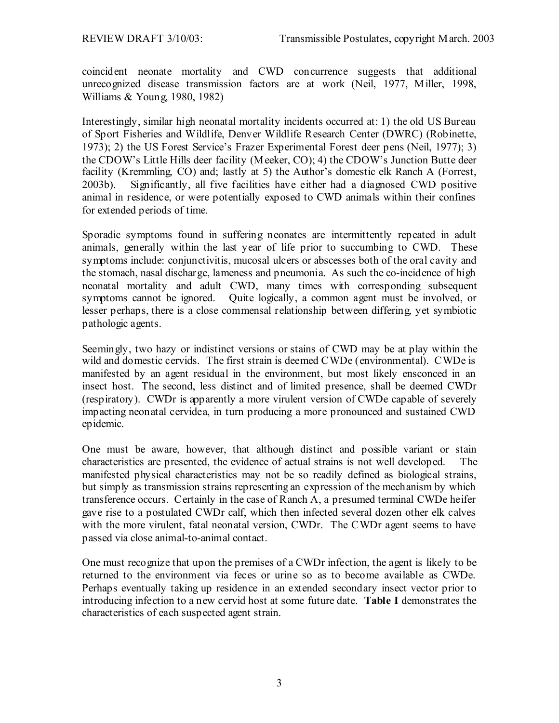coincident neonate mortality and CWD concurrence suggests that additional unrecognized disease transmission factors are at work (Neil, 1977, Miller, 1998, Williams & Young, 1980, 1982)

Interestingly, similar high neonatal mortality incidents occurred at: 1) the old US Bureau of Sport Fisheries and Wildlife, Denver Wildlife Research Center (DWRC) (Robinette, 1973); 2) the US Forest Service's Frazer Experimental Forest deer pens (Neil, 1977); 3) the CDOW's Little Hills deer facility (Meeker, CO); 4) the CDOW's Junction Butte deer facility (Kremmling, CO) and; lastly at 5) the Author's domestic elk Ranch A (Forrest, 2003b). Significantly, all five facilities have either had a diagnosed CWD positive animal in residence, or were potentially exposed to CWD animals within their confines for extended periods of time.

Sporadic symptoms found in suffering neonates are intermittently repeated in adult animals, generally within the last year of life prior to succumbing to CWD. These symptoms include: conjunctivitis, mucosal ulcers or abscesses both of the oral cavity and the stomach, nasal discharge, lameness and pneumonia. As such the co-incidence of high neonatal mortality and adult CWD, many times with corresponding subsequent symptoms cannot be ignored. Quite logically, a common agent must be involved, or lesser perhaps, there is a close commensal relationship between differing, yet symbiotic pathologic agents.

Seemingly, two hazy or indistinct versions or stains of CWD may be at play within the wild and domestic cervids. The first strain is deemed CWDe (environmental). CWDe is manifested by an agent residual in the environment, but most likely ensconced in an insect host. The second, less distinct and of limited presence, shall be deemed CWDr (respiratory). CWDr is apparently a more virulent version of CWDe capable of severely impacting neonatal cervidea, in turn producing a more pronounced and sustained CWD epidemic.

One must be aware, however, that although distinct and possible variant or stain characteristics are presented, the evidence of actual strains is not well developed. The manifested physical characteristics may not be so readily defined as biological strains, but simply as transmission strains representing an expression of the mechanism by which transference occurs. Certainly in the case of Ranch A, a presumed terminal CWDe heifer gave rise to a postulated CWDr calf, which then infected several dozen other elk calves with the more virulent, fatal neonatal version, CWDr. The CWDr agent seems to have passed via close animal-to-animal contact.

One must recognize that upon the premises of a CWDr infection, the agent is likely to be returned to the environment via feces or urine so as to become available as CWDe. Perhaps eventually taking up residence in an extended secondary insect vector prior to introducing infection to a new cervid host at some future date. **Table I** demonstrates the characteristics of each suspected agent strain.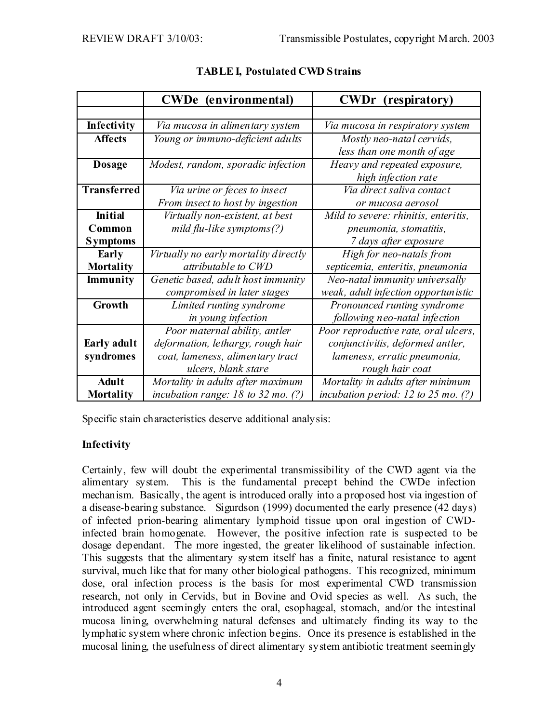|                    | (environmental)<br><b>CWDe</b>         | <b>CWDr</b><br>(respiratory)            |
|--------------------|----------------------------------------|-----------------------------------------|
|                    |                                        |                                         |
| Infectivity        | Via mucosa in alimentary system        | Via mucosa in respiratory system        |
| <b>Affects</b>     | Young or immuno-deficient adults       | Mostly neo-natal cervids,               |
|                    |                                        | less than one month of age              |
| <b>Dosage</b>      | Modest, random, sporadic infection     | Heavy and repeated exposure,            |
|                    |                                        | high infection rate                     |
| <b>Transferred</b> | Via urine or feces to insect           | Via direct saliva contact               |
|                    | From insect to host by ingestion       | or mucosa aerosol                       |
| <b>Initial</b>     | Virtually non-existent, at best        | Mild to severe: rhinitis, enteritis,    |
| Common             | mild flu-like symptoms(?)              | pneumonia, stomatitis,                  |
| <b>Symptoms</b>    |                                        | 7 days after exposure                   |
| Early              | Virtually no early mortality directly  | High for neo-natals from                |
| <b>Mortality</b>   | attributable to CWD                    | septicemia, enteritis, pneumonia        |
| Immunity           | Genetic based, adult host immunity     | Neo-natal immunity universally          |
|                    | compromised in later stages            | weak, adult infection opportunistic     |
| Growth             | Limited runting syndrome               | Pronounced runting syndrome             |
|                    | in young infection                     | following neo-natal infection           |
|                    | Poor maternal ability, antler          | Poor reproductive rate, oral ulcers,    |
| Early adult        | deformation, lethargy, rough hair      | conjunctivitis, deformed antler,        |
| syndromes          | coat, lameness, alimentary tract       | lameness, erratic pneumonia,            |
|                    | ulcers, blank stare                    | rough hair coat                         |
| <b>Adult</b>       | Mortality in adults after maximum      | Mortality in adults after minimum       |
| <b>Mortality</b>   | incubation range: $18$ to $32$ mo. (?) | incubation period: $12$ to $25$ mo. (?) |

### **TABLE I, Postulated CWD Strains**

Specific stain characteristics deserve additional analysis:

#### **Infectivity**

Certainly, few will doubt the experimental transmissibility of the CWD agent via the alimentary system. This is the fundamental precept behind the CWDe infection mechanism. Basically, the agent is introduced orally into a proposed host via ingestion of a disease-bearing substance. Sigurdson (1999) documented the early presence (42 days) of infected prion-bearing alimentary lymphoid tissue upon oral ingestion of CWDinfected brain homogenate. However, the positive infection rate is suspected to be dosage dependant. The more ingested, the greater likelihood of sustainable infection. This suggests that the alimentary system itself has a finite, natural resistance to agent survival, much like that for many other biological pathogens. This recognized, minimum dose, oral infection process is the basis for most experimental CWD transmission research, not only in Cervids, but in Bovine and Ovid species as well. As such, the introduced agent seemingly enters the oral, esophageal, stomach, and/or the intestinal mucosa lining, overwhelming natural defenses and ultimately finding its way to the lymphatic system where chronic infection begins. Once its presence is established in the mucosal lining, the usefulness of direct alimentary system antibiotic treatment seemingly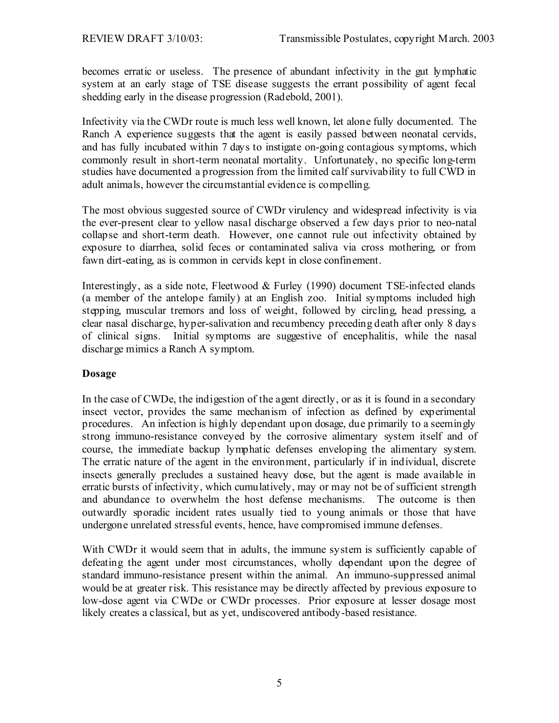becomes erratic or useless. The presence of abundant infectivity in the gut lymphatic system at an early stage of TSE disease suggests the errant possibility of agent fecal shedding early in the disease progression (Radebold, 2001).

Infectivity via the CWDr route is much less well known, let alone fully documented. The Ranch A experience suggests that the agent is easily passed between neonatal cervids, and has fully incubated within 7 days to instigate on-going contagious symptoms, which commonly result in short-term neonatal mortality. Unfortunately, no specific long-term studies have documented a progression from the limited calf survivability to full CWD in adult animals, however the circumstantial evidence is compelling.

The most obvious suggested source of CWDr virulency and widespread infectivity is via the ever-present clear to yellow nasal discharge observed a few days prior to neo-natal collapse and short-term death. However, one cannot rule out infectivity obtained by exposure to diarrhea, solid feces or contaminated saliva via cross mothering, or from fawn dirt-eating, as is common in cervids kept in close confinement.

Interestingly, as a side note, Fleetwood & Furley (1990) document TSE-infected elands (a member of the antelope family) at an English zoo. Initial symptoms included high stepping, muscular tremors and loss of weight, followed by circling, head pressing, a clear nasal discharge, hyper-salivation and recumbency preceding death after only 8 days of clinical signs. Initial symptoms are suggestive of encephalitis, while the nasal discharge mimics a Ranch A symptom.

#### **Dosage**

In the case of CWDe, the indigestion of the agent directly, or as it is found in a secondary insect vector, provides the same mechanism of infection as defined by experimental procedures. An infection is highly dependant upon dosage, due primarily to a seemingly strong immuno-resistance conveyed by the corrosive alimentary system itself and of course, the immediate backup lymphatic defenses enveloping the alimentary system. The erratic nature of the agent in the environment, particularly if in individual, discrete insects generally precludes a sustained heavy dose, but the agent is made available in erratic bursts of infectivity, which cumulatively, may or may not be of sufficient strength and abundance to overwhelm the host defense mechanisms. The outcome is then outwardly sporadic incident rates usually tied to young animals or those that have undergone unrelated stressful events, hence, have compromised immune defenses.

With CWDr it would seem that in adults, the immune system is sufficiently capable of defeating the agent under most circumstances, wholly dependant upon the degree of standard immuno-resistance present within the animal. An immuno-suppressed animal would be at greater risk. This resistance may be directly affected by previous exposure to low-dose agent via CWDe or CWDr processes. Prior exposure at lesser dosage most likely creates a classical, but as yet, undiscovered antibody-based resistance.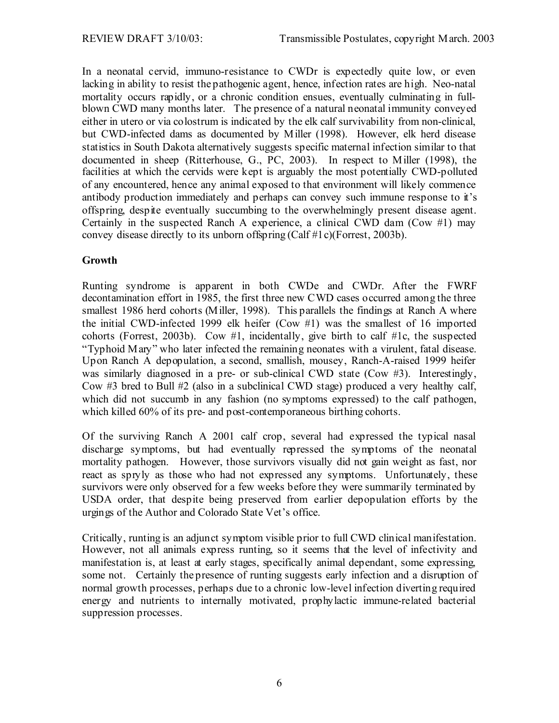In a neonatal cervid, immuno-resistance to CWDr is expectedly quite low, or even lacking in ability to resist the pathogenic agent, hence, infection rates are high. Neo-natal mortality occurs rapidly, or a chronic condition ensues, eventually culminating in fullblown CWD many months later. The presence of a natural neonatal immunity conveyed either in utero or via colostrum is indicated by the elk calf survivability from non-clinical, but CWD-infected dams as documented by Miller (1998). However, elk herd disease statistics in South Dakota alternatively suggests specific maternal infection similar to that documented in sheep (Ritterhouse, G., PC, 2003). In respect to Miller (1998), the facilities at which the cervids were kept is arguably the most potentially CWD-polluted of any encountered, hence any animal exposed to that environment will likely commence antibody production immediately and perhaps can convey such immune response to it's offspring, despite eventually succumbing to the overwhelmingly present disease agent. Certainly in the suspected Ranch A experience, a clinical CWD dam (Cow  $#1$ ) may convey disease directly to its unborn offspring (Calf #1c)(Forrest, 2003b).

#### **Growth**

Runting syndrome is apparent in both CWDe and CWDr. After the FWRF decontamination effort in 1985, the first three new CWD cases occurred among the three smallest 1986 herd cohorts (Miller, 1998). This parallels the findings at Ranch A where the initial CWD-infected 1999 elk heifer (Cow #1) was the smallest of 16 imported cohorts (Forrest, 2003b). Cow #1, incidentally, give birth to calf #1c, the suspected "Typhoid Mary" who later infected the remaining neonates with a virulent, fatal disease. Upon Ranch A depopulation, a second, smallish, mousey, Ranch-A-raised 1999 heifer was similarly diagnosed in a pre- or sub-clinical CWD state (Cow #3). Interestingly, Cow #3 bred to Bull #2 (also in a subclinical CWD stage) produced a very healthy calf, which did not succumb in any fashion (no symptoms expressed) to the calf pathogen, which killed 60% of its pre- and post-contemporaneous birthing cohorts.

Of the surviving Ranch A 2001 calf crop, several had expressed the typical nasal discharge symptoms, but had eventually repressed the symptoms of the neonatal mortality pathogen. However, those survivors visually did not gain weight as fast, nor react as spryly as those who had not expressed any symptoms. Unfortunately, these survivors were only observed for a few weeks before they were summarily terminated by USDA order, that despite being preserved from earlier depopulation efforts by the urgings of the Author and Colorado State Vet's office.

Critically, runting is an adjunct symptom visible prior to full CWD clinical manifestation. However, not all animals express runting, so it seems that the level of infectivity and manifestation is, at least at early stages, specifically animal dependant, some expressing, some not. Certainly the presence of runting suggests early infection and a disruption of normal growth processes, perhaps due to a chronic low-level infection diverting required energy and nutrients to internally motivated, prophylactic immune-related bacterial suppression processes.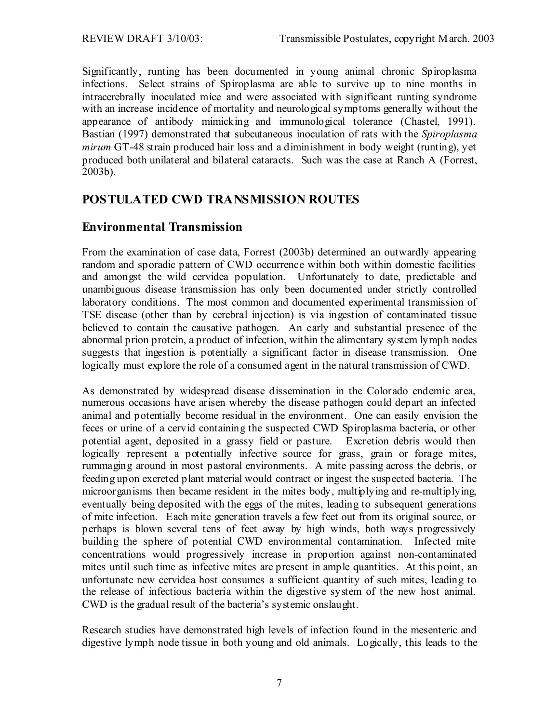Significantly, runting has been documented in young animal chronic Spiroplasma infections. Select strains of Spiroplasma are able to survive up to nine months in intracerebrally inoculated mice and were associated with significant runting syndrome with an increase incidence of mortality and neurological symptoms generally without the appearance of antibody mimicking and immunological tolerance (Chastel, 1991). Bastian (1997) demonstrated that subcutaneous inoculation of rats with the *Spiroplasma mirum* GT-48 strain produced hair loss and a diminishment in body weight (runting), yet produced both unilateral and bilateral cataracts. Such was the case at Ranch A (Forrest, 2003b).

### **POSTULATED CWD TRANSMISSION ROUTES**

### **Environmental Transmission**

From the examination of case data, Forrest (2003b) determined an outwardly appearing random and sporadic pattern of CWD occurrence within both within domestic facilities and amongst the wild cervidea population. Unfortunately to date, predictable and unambiguous disease transmission has only been documented under strictly controlled laboratory conditions. The most common and documented experimental transmission of TSE disease (other than by cerebral injection) is via ingestion of contaminated tissue believed to contain the causative pathogen. An early and substantial presence of the abnormal prion protein, a product of infection, within the alimentary system lymph nodes suggests that ingestion is potentially a significant factor in disease transmission. One logically must explore the role of a consumed agent in the natural transmission of CWD.

As demonstrated by widespread disease dissemination in the Colorado endemic area, numerous occasions have arisen whereby the disease pathogen could depart an infected animal and potentially become residual in the environment. One can easily envision the feces or urine of a cervid containing the suspected CWD Spiroplasma bacteria, or other potential agent, deposited in a grassy field or pasture. Excretion debris would then logically represent a potentially infective source for grass, grain or forage mites, rummaging around in most pastoral environments. A mite passing across the debris, or feeding upon excreted plant material would contract or ingest the suspected bacteria. The microorganisms then became resident in the mites body, multiplying and re-multiplying, eventually being deposited with the eggs of the mites, leading to subsequent generations of mite infection. Each mite generation travels a few feet out from its original source, or perhaps is blown several tens of feet away by high winds, both ways progressively building the sphere of potential CWD environmental contamination. Infected mite concentrations would progressively increase in proportion against non-contaminated mites until such time as infective mites are present in ample quantities. At this point, an unfortunate new cervidea host consumes a sufficient quantity of such mites, leading to the release of infectious bacteria within the digestive system of the new host animal. CWD is the gradual result of the bacteria's systemic onslaught.

Research studies have demonstrated high levels of infection found in the mesenteric and digestive lymph node tissue in both young and old animals. Logically, this leads to the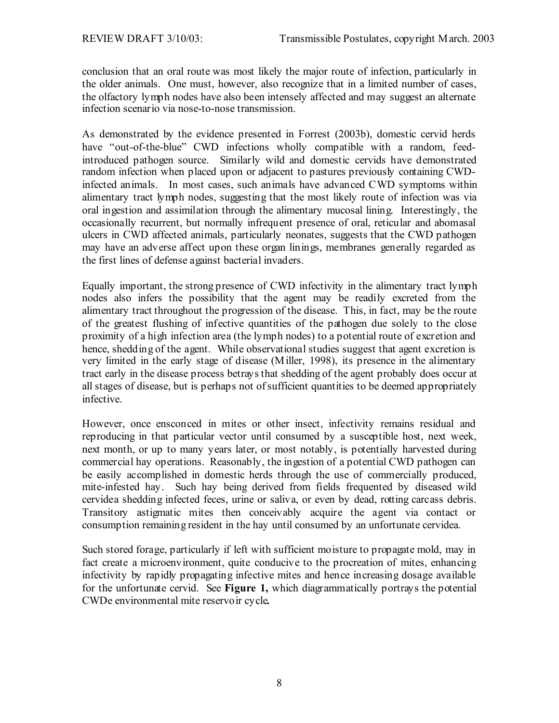conclusion that an oral route was most likely the major route of infection, particularly in the older animals. One must, however, also recognize that in a limited number of cases, the olfactory lymph nodes have also been intensely affected and may suggest an alternate infection scenario via nose-to-nose transmission.

As demonstrated by the evidence presented in Forrest (2003b), domestic cervid herds have "out-of-the-blue" CWD infections wholly compatible with a random, feedintroduced pathogen source. Similarly wild and domestic cervids have demonstrated random infection when placed upon or adjacent to pastures previously containing CWDinfected animals. In most cases, such animals have advanced CWD symptoms within alimentary tract lymph nodes, suggesting that the most likely route of infection was via oral ingestion and assimilation through the alimentary mucosal lining. Interestingly, the occasionally recurrent, but normally infrequent presence of oral, reticular and abomasal ulcers in CWD affected animals, particularly neonates, suggests that the CWD pathogen may have an adverse affect upon these organ linings, membranes generally regarded as the first lines of defense against bacterial invaders.

Equally important, the strong presence of CWD infectivity in the alimentary tract lymph nodes also infers the possibility that the agent may be readily excreted from the alimentary tract throughout the progression of the disease. This, in fact, may be the route of the greatest flushing of infective quantities of the pathogen due solely to the close proximity of a high infection area (the lymph nodes) to a potential route of excretion and hence, shedding of the agent. While observational studies suggest that agent excretion is very limited in the early stage of disease (Miller, 1998), its presence in the alimentary tract early in the disease process betrays that shedding of the agent probably does occur at all stages of disease, but is perhaps not of sufficient quantities to be deemed appropriately infective.

However, once ensconced in mites or other insect, infectivity remains residual and reproducing in that particular vector until consumed by a susceptible host, next week, next month, or up to many years later, or most notably, is potentially harvested during commercial hay operations. Reasonably, the ingestion of a potential CWD pathogen can be easily accomplished in domestic herds through the use of commercially produced, mite-infested hay. Such hay being derived from fields frequented by diseased wild cervidea shedding infected feces, urine or saliva, or even by dead, rotting carcass debris. Transitory astigmatic mites then conceivably acquire the agent via contact or consumption remaining resident in the hay until consumed by an unfortunate cervidea.

Such stored forage, particularly if left with sufficient moisture to propagate mold, may in fact create a microenvironment, quite conducive to the procreation of mites, enhancing infectivity by rapidly propagating infective mites and hence increasing dosage available for the unfortunate cervid. See **Figure 1,** which diagrammatically portrays the potential CWDe environmental mite reservoir cycle*.*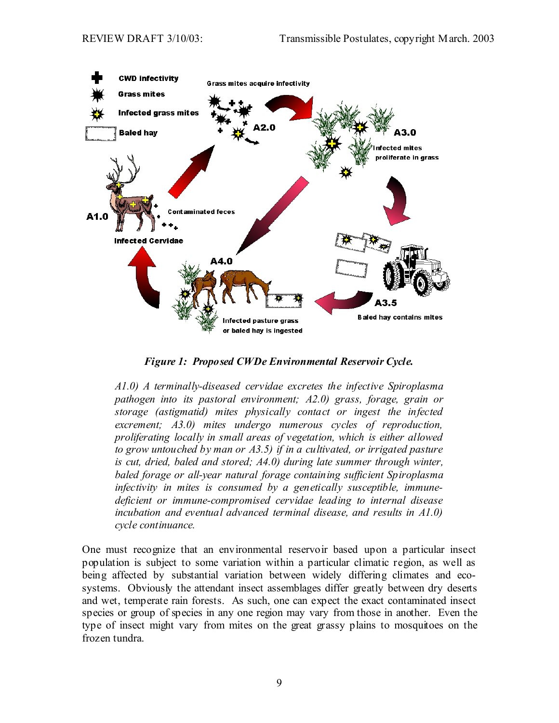

*Figure 1: Proposed CWDe Environmental Reservoir Cycle.* 

*A1.0) A terminally-diseased cervidae excretes the infective Spiroplasma pathogen into its pastoral environment; A2.0) grass, forage, grain or storage (astigmatid) mites physically contact or ingest the infected excrement; A3.0) mites undergo numerous cycles of reproduction, proliferating locally in small areas of vegetation, which is either allowed to grow untouched by man or A3.5) if in a cultivated, or irrigated pasture is cut, dried, baled and stored; A4.0) during late summer through winter, baled forage or all-year natural forage containing sufficient Spiroplasma infectivity in mites is consumed by a genetically susceptible, immunedeficient or immune-compromised cervidae leading to internal disease*  incubation and eventual advanced terminal disease, and results in A1.0) *cycle continuance.*

One must recognize that an environmental reservoir based upon a particular insect population is subject to some variation within a particular climatic region, as well as being affected by substantial variation between widely differing climates and ecosystems. Obviously the attendant insect assemblages differ greatly between dry deserts and wet, temperate rain forests. As such, one can expect the exact contaminated insect species or group of species in any one region may vary from those in another. Even the type of insect might vary from mites on the great grassy plains to mosquitoes on the frozen tundra.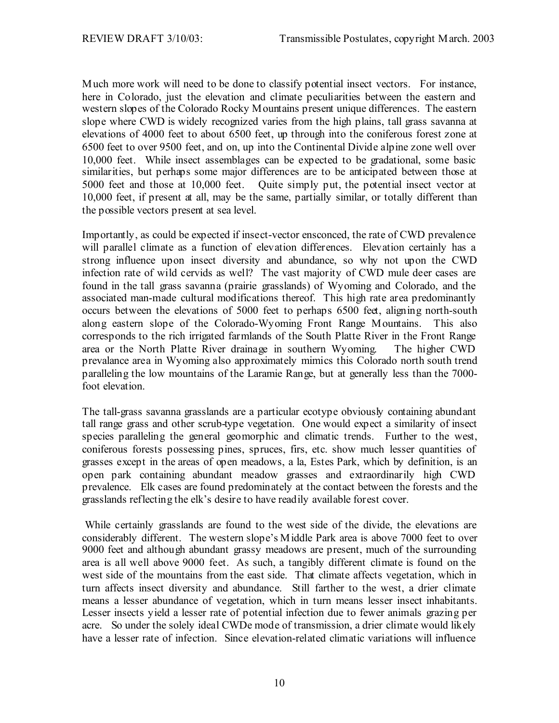Much more work will need to be done to classify potential insect vectors. For instance, here in Colorado, just the elevation and climate peculiarities between the eastern and western slopes of the Colorado Rocky Mountains present unique differences. The eastern slope where CWD is widely recognized varies from the high plains, tall grass savanna at elevations of 4000 feet to about 6500 feet, up through into the coniferous forest zone at 6500 feet to over 9500 feet, and on, up into the Continental Divide alpine zone well over 10,000 feet. While insect assemblages can be expected to be gradational, some basic similarities, but perhaps some major differences are to be anticipated between those at 5000 feet and those at 10,000 feet. Quite simply put, the potential insect vector at 10,000 feet, if present at all, may be the same, partially similar, or totally different than the possible vectors present at sea level.

Importantly, as could be expected if insect-vector ensconced, the rate of CWD prevalence will parallel climate as a function of elevation differences. Elevation certainly has a strong influence upon insect diversity and abundance, so why not upon the CWD infection rate of wild cervids as well? The vast majority of CWD mule deer cases are found in the tall grass savanna (prairie grasslands) of Wyoming and Colorado, and the associated man-made cultural modifications thereof. This high rate area predominantly occurs between the elevations of 5000 feet to perhaps 6500 feet, aligning north-south along eastern slope of the Colorado-Wyoming Front Range Mountains. This also corresponds to the rich irrigated farmlands of the South Platte River in the Front Range area or the North Platte River drainage in southern Wyoming. The higher CWD prevalance area in Wyoming also approximately mimics this Colorado north south trend paralleling the low mountains of the Laramie Range, but at generally less than the 7000 foot elevation.

The tall-grass savanna grasslands are a particular ecotype obviously containing abundant tall range grass and other scrub-type vegetation. One would expect a similarity of insect species paralleling the general geomorphic and climatic trends. Further to the west, coniferous forests possessing pines, spruces, firs, etc. show much lesser quantities of grasses except in the areas of open meadows, a la, Estes Park, which by definition, is an open park containing abundant meadow grasses and extraordinarily high CWD prevalence. Elk cases are found predominately at the contact between the forests and the grasslands reflecting the elk's desire to have readily available forest cover.

 While certainly grasslands are found to the west side of the divide, the elevations are considerably different. The western slope's Middle Park area is above 7000 feet to over 9000 feet and although abundant grassy meadows are present, much of the surrounding area is all well above 9000 feet. As such, a tangibly different climate is found on the west side of the mountains from the east side. That climate affects vegetation, which in turn affects insect diversity and abundance. Still farther to the west, a drier climate means a lesser abundance of vegetation, which in turn means lesser insect inhabitants. Lesser insects yield a lesser rate of potential infection due to fewer animals grazing per acre. So under the solely ideal CWDe mode of transmission, a drier climate would likely have a lesser rate of infection. Since elevation-related climatic variations will influence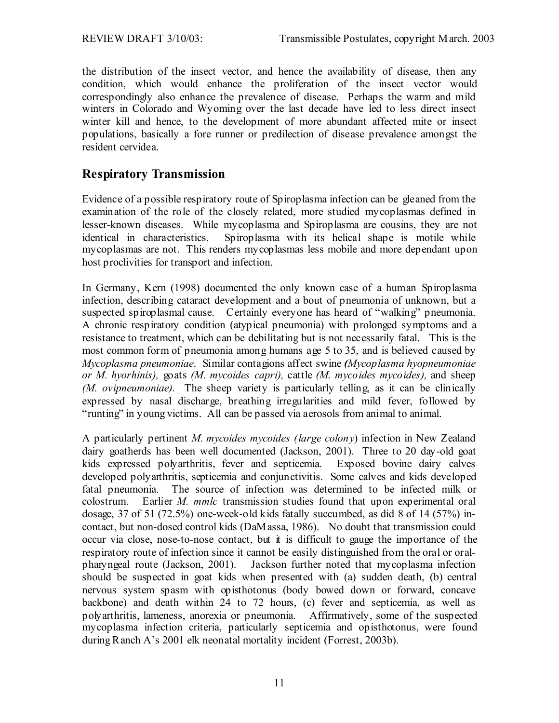the distribution of the insect vector, and hence the availability of disease, then any condition, which would enhance the proliferation of the insect vector would correspondingly also enhance the prevalence of disease. Perhaps the warm and mild winters in Colorado and Wyoming over the last decade have led to less direct insect winter kill and hence, to the development of more abundant affected mite or insect populations, basically a fore runner or predilection of disease prevalence amongst the resident cervidea.

### **Respiratory Transmission**

Evidence of a possible respiratory route of Spiroplasma infection can be gleaned from the examination of the role of the closely related, more studied mycoplasmas defined in lesser-known diseases. While mycoplasma and Spiroplasma are cousins, they are not identical in characteristics. Spiroplasma with its helical shape is motile while mycoplasmas are not. This renders mycoplasmas less mobile and more dependant upon host proclivities for transport and infection.

In Germany, Kern (1998) documented the only known case of a human Spiroplasma infection, describing cataract development and a bout of pneumonia of unknown, but a suspected spiroplasmal cause. Certainly everyone has heard of "walking" pneumonia. A chronic respiratory condition (atypical pneumonia) with prolonged symptoms and a resistance to treatment, which can be debilitating but is not necessarily fatal. This is the most common form of pneumonia among humans age 5 to 35, and is believed caused by *Mycoplasma pneumoniae*. Similar contagions affect swine *(Mycoplasma hyopneumoniae or M. hyorhinis),* goats *(M. mycoides capri),* cattle *(M. mycoides mycoides),* and sheep *(M. ovipneumoniae).* The sheep variety is particularly telling, as it can be clinically expressed by nasal discharge, breathing irregularities and mild fever, followed by "runting" in young victims. All can be passed via aerosols from animal to animal.

A particularly pertinent *M. mycoides mycoides (large colony*) infection in New Zealand dairy goatherds has been well documented (Jackson, 2001). Three to 20 day-old goat kids expressed polyarthritis, fever and septicemia. Exposed bovine dairy calves developed polyarthritis, septicemia and conjunctivitis. Some calves and kids developed fatal pneumonia. The source of infection was determined to be infected milk or colostrum. Earlier *M. mmlc* transmission studies found that upon experimental oral dosage, 37 of 51 (72.5%) one-week-old kids fatally succumbed, as did 8 of 14 (57%) incontact, but non-dosed control kids (DaMassa, 1986). No doubt that transmission could occur via close, nose-to-nose contact, but it is difficult to gauge the importance of the respiratory route of infection since it cannot be easily distinguished from the oral or oralpharyngeal route (Jackson, 2001). Jackson further noted that mycoplasma infection should be suspected in goat kids when presented with (a) sudden death, (b) central nervous system spasm with opisthotonus (body bowed down or forward, concave backbone) and death within 24 to 72 hours, (c) fever and septicemia, as well as polyarthritis, lameness, anorexia or pneumonia. Affirmatively, some of the suspected mycoplasma infection criteria, particularly septicemia and opisthotonus, were found during Ranch A's 2001 elk neonatal mortality incident (Forrest, 2003b).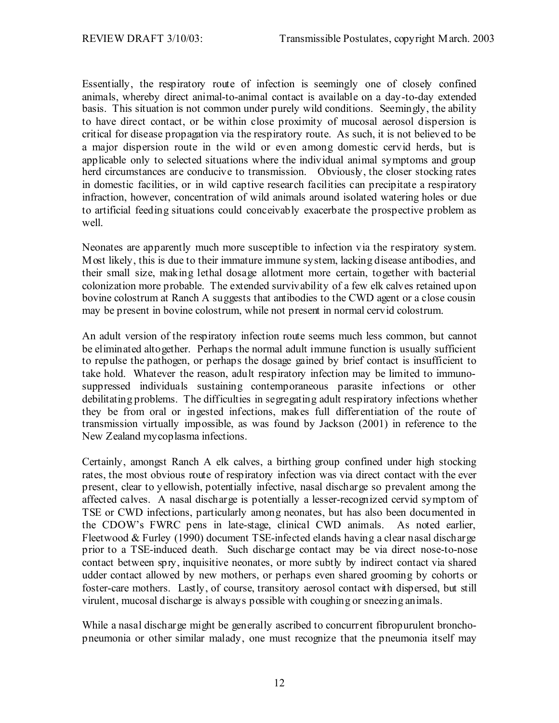Essentially, the respiratory route of infection is seemingly one of closely confined animals, whereby direct animal-to-animal contact is available on a day-to-day extended basis. This situation is not common under purely wild conditions. Seemingly, the ability to have direct contact, or be within close proximity of mucosal aerosol dispersion is critical for disease propagation via the respiratory route. As such, it is not believed to be a major dispersion route in the wild or even among domestic cervid herds, but is applicable only to selected situations where the individual animal symptoms and group herd circumstances are conducive to transmission. Obviously, the closer stocking rates in domestic facilities, or in wild captive research facilities can precipitate a respiratory infraction, however, concentration of wild animals around isolated watering holes or due to artificial feeding situations could conceivably exacerbate the prospective problem as well.

Neonates are apparently much more susceptible to infection via the respiratory system. Most likely, this is due to their immature immune system, lacking disease antibodies, and their small size, making lethal dosage allotment more certain, together with bacterial colonization more probable. The extended survivability of a few elk calves retained upon bovine colostrum at Ranch A suggests that antibodies to the CWD agent or a close cousin may be present in bovine colostrum, while not present in normal cervid colostrum.

An adult version of the respiratory infection route seems much less common, but cannot be eliminated altogether. Perhaps the normal adult immune function is usually sufficient to repulse the pathogen, or perhaps the dosage gained by brief contact is insufficient to take hold. Whatever the reason, adult respiratory infection may be limited to immunosuppressed individuals sustaining contemporaneous parasite infections or other debilitating problems. The difficulties in segregating adult respiratory infections whether they be from oral or ingested infections, makes full differentiation of the route of transmission virtually impossible, as was found by Jackson (2001) in reference to the New Zealand mycoplasma infections.

Certainly, amongst Ranch A elk calves, a birthing group confined under high stocking rates, the most obvious route of respiratory infection was via direct contact with the ever present, clear to yellowish, potentially infective, nasal discharge so prevalent among the affected calves. A nasal discharge is potentially a lesser-recognized cervid symptom of TSE or CWD infections, particularly among neonates, but has also been documented in the CDOW's FWRC pens in late-stage, clinical CWD animals. As noted earlier, Fleetwood & Furley (1990) document TSE-infected elands having a clear nasal discharge prior to a TSE-induced death. Such discharge contact may be via direct nose-to-nose contact between spry, inquisitive neonates, or more subtly by indirect contact via shared udder contact allowed by new mothers, or perhaps even shared grooming by cohorts or foster-care mothers. Lastly, of course, transitory aerosol contact with dispersed, but still virulent, mucosal discharge is always possible with coughing or sneezing animals.

While a nasal discharge might be generally ascribed to concurrent fibropurulent bronchopneumonia or other similar malady, one must recognize that the pneumonia itself may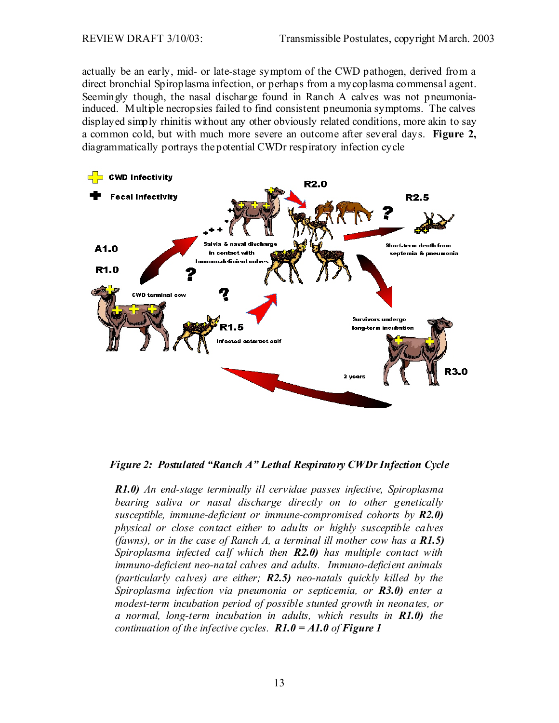actually be an early, mid- or late-stage symptom of the CWD pathogen, derived from a direct bronchial Spiroplasma infection, or perhaps from a mycoplasma commensal agent. Seemingly though, the nasal discharge found in Ranch A calves was not pneumoniainduced. Multiple necropsies failed to find consistent pneumonia symptoms. The calves displayed simply rhinitis without any other obviously related conditions, more akin to say a common cold, but with much more severe an outcome after several days. **Figure 2,** diagrammatically portrays the potential CWDr respiratory infection cycle



*Figure 2: Postulated "Ranch A" Lethal Respiratory CWDr Infection Cycle* 

*R1.0) An end-stage terminally ill cervidae passes infective, Spiroplasma bearing saliva or nasal discharge directly on to other genetically susceptible, immune-deficient or immune-compromised cohorts by R2.0) physical or close contact either to adults or highly susceptible calves (fawns), or in the case of Ranch A, a terminal ill mother cow has a R1.5) Spiroplasma infected calf which then R2.0) has multiple contact with immuno-deficient neo-natal calves and adults. Immuno-deficient animals (particularly calves) are either; R2.5) neo-natals quickly killed by the Spiroplasma infection via pneumonia or septicemia, or R3.0) enter a modest-term incubation period of possible stunted growth in neonates, or a normal, long-term incubation in adults, which results in R1.0) the continuation of the infective cycles. R1.0 = A1.0 of Figure 1*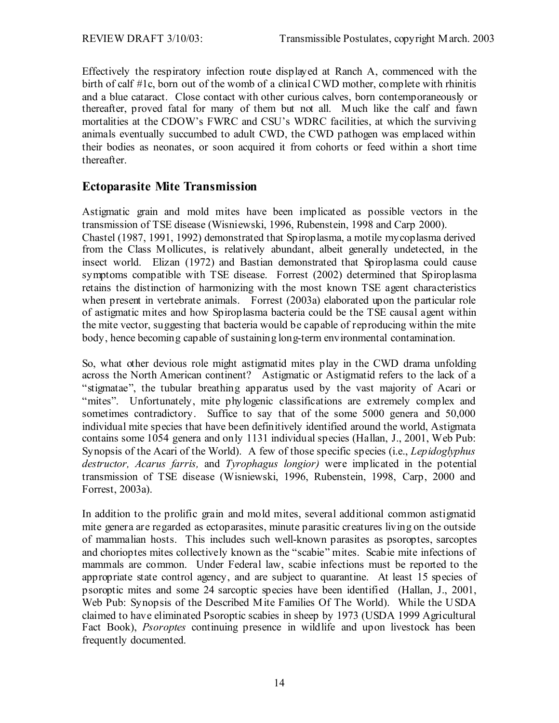Effectively the respiratory infection route displayed at Ranch A, commenced with the birth of calf #1c, born out of the womb of a clinical CWD mother, complete with rhinitis and a blue cataract. Close contact with other curious calves, born contemporaneously or thereafter, proved fatal for many of them but not all. Much like the calf and fawn mortalities at the CDOW's FWRC and CSU's WDRC facilities, at which the surviving animals eventually succumbed to adult CWD, the CWD pathogen was emplaced within their bodies as neonates, or soon acquired it from cohorts or feed within a short time thereafter.

### **Ectoparasite Mite Transmission**

Astigmatic grain and mold mites have been implicated as possible vectors in the transmission of TSE disease (Wisniewski, 1996, Rubenstein, 1998 and Carp 2000). Chastel (1987, 1991, 1992) demonstrated that Spiroplasma, a motile mycoplasma derived from the Class Mollicutes, is relatively abundant, albeit generally undetected, in the insect world. Elizan (1972) and Bastian demonstrated that Spiroplasma could cause symptoms compatible with TSE disease. Forrest (2002) determined that Spiroplasma retains the distinction of harmonizing with the most known TSE agent characteristics when present in vertebrate animals. Forrest (2003a) elaborated upon the particular role of astigmatic mites and how Spiroplasma bacteria could be the TSE causal agent within the mite vector, suggesting that bacteria would be capable of reproducing within the mite body, hence becoming capable of sustaining long-term environmental contamination.

So, what other devious role might astigmatid mites play in the CWD drama unfolding across the North American continent? Astigmatic or Astigmatid refers to the lack of a "stigmatae", the tubular breathing apparatus used by the vast majority of Acari or "mites". Unfortunately, mite phylogenic classifications are extremely complex and sometimes contradictory. Suffice to say that of the some 5000 genera and 50,000 individual mite species that have been definitively identified around the world, Astigmata contains some 1054 genera and only 1131 individual species (Hallan, J., 2001, Web Pub: Synopsis of the Acari of the World). A few of those specific species (i.e., *Lepidoglyphus destructor, Acarus farris,* and *Tyrophagus longior)* were implicated in the potential transmission of TSE disease (Wisniewski, 1996, Rubenstein, 1998, Carp, 2000 and Forrest, 2003a).

In addition to the prolific grain and mold mites, several additional common astigmatid mite genera are regarded as ectoparasites, minute parasitic creatures living on the outside of mammalian hosts. This includes such well-known parasites as psoroptes, sarcoptes and chorioptes mites collectively known as the "scabie" mites. Scabie mite infections of mammals are common. Under Federal law, scabie infections must be reported to the appropriate state control agency, and are subject to quarantine. At least 15 species of psoroptic mites and some 24 sarcoptic species have been identified (Hallan, J., 2001, Web Pub: Synopsis of the Described Mite Families Of The World). While the USDA claimed to have eliminated Psoroptic scabies in sheep by 1973 (USDA 1999 Agricultural Fact Book), *Psoroptes* continuing presence in wildlife and upon livestock has been frequently documented.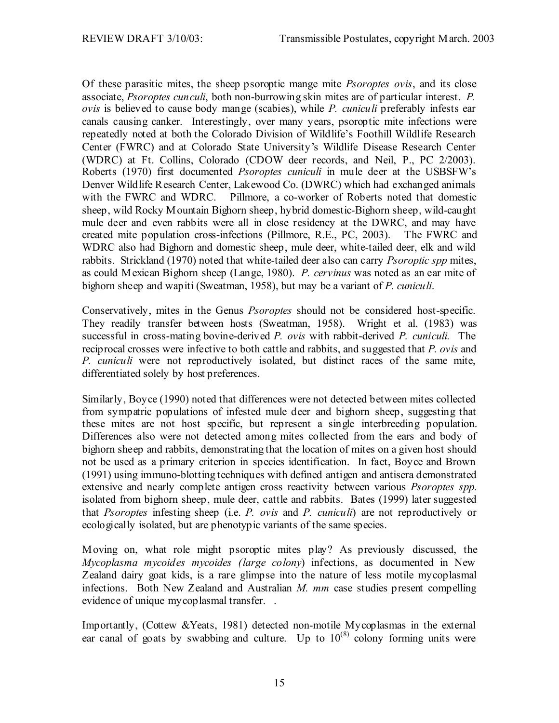Of these parasitic mites, the sheep psoroptic mange mite *Psoroptes ovis*, and its close associate, *Psoroptes cunculi*, both non-burrowing skin mites are of particular interest. *P. ovis* is believed to cause body mange (scabies), while *P. cuniculi* preferably infests ear canals causing canker. Interestingly, over many years, psoroptic mite infections were repeatedly noted at both the Colorado Division of Wildlife's Foothill Wildlife Research Center (FWRC) and at Colorado State University's Wildlife Disease Research Center (WDRC) at Ft. Collins, Colorado (CDOW deer records, and Neil, P., PC 2/2003). Roberts (1970) first documented *Psoroptes cuniculi* in mule deer at the USBSFW's Denver Wildlife Research Center, Lakewood Co. (DWRC) which had exchanged animals with the FWRC and WDRC. Pillmore, a co-worker of Roberts noted that domestic sheep, wild Rocky Mountain Bighorn sheep, hybrid domestic-Bighorn sheep, wild-caught mule deer and even rabbits were all in close residency at the DWRC, and may have created mite population cross-infections (Pillmore, R.E., PC, 2003). The FWRC and WDRC also had Bighorn and domestic sheep, mule deer, white-tailed deer, elk and wild rabbits. Strickland (1970) noted that white-tailed deer also can carry *Psoroptic spp* mites, as could Mexican Bighorn sheep (Lange, 1980). *P. cervinus* was noted as an ear mite of bighorn sheep and wapiti (Sweatman, 1958), but may be a variant of *P. cuniculi*.

Conservatively, mites in the Genus *Psoroptes* should not be considered host-specific. They readily transfer between hosts (Sweatman, 1958). Wright et al. (1983) was successful in cross-mating bovine-derived *P. ovis* with rabbit-derived *P. cuniculi.* The reciprocal crosses were infective to both cattle and rabbits, and suggested that *P. ovis* and *P. cuniculi* were not reproductively isolated, but distinct races of the same mite, differentiated solely by host preferences.

Similarly, Boyce (1990) noted that differences were not detected between mites collected from sympatric populations of infested mule deer and bighorn sheep, suggesting that these mites are not host specific, but represent a single interbreeding population. Differences also were not detected among mites collected from the ears and body of bighorn sheep and rabbits, demonstrating that the location of mites on a given host should not be used as a primary criterion in species identification. In fact, Boyce and Brown (1991) using immuno-blotting techniques with defined antigen and antisera demonstrated extensive and nearly complete antigen cross reactivity between various *Psoroptes spp.*  isolated from bighorn sheep, mule deer, cattle and rabbits. Bates (1999) later suggested that *Psoroptes* infesting sheep (i.e. *P. ovis* and *P. cuniculi*) are not reproductively or ecologically isolated, but are phenotypic variants of the same species.

Moving on, what role might psoroptic mites play? As previously discussed, the *Mycoplasma mycoides mycoides (large colony*) infections, as documented in New Zealand dairy goat kids, is a rare glimpse into the nature of less motile mycoplasmal infections. Both New Zealand and Australian *M. mm* case studies present compelling evidence of unique mycoplasmal transfer. .

Importantly, (Cottew &Yeats, 1981) detected non-motile Mycoplasmas in the external ear canal of goats by swabbing and culture. Up to  $10^{(8)}$  colony forming units were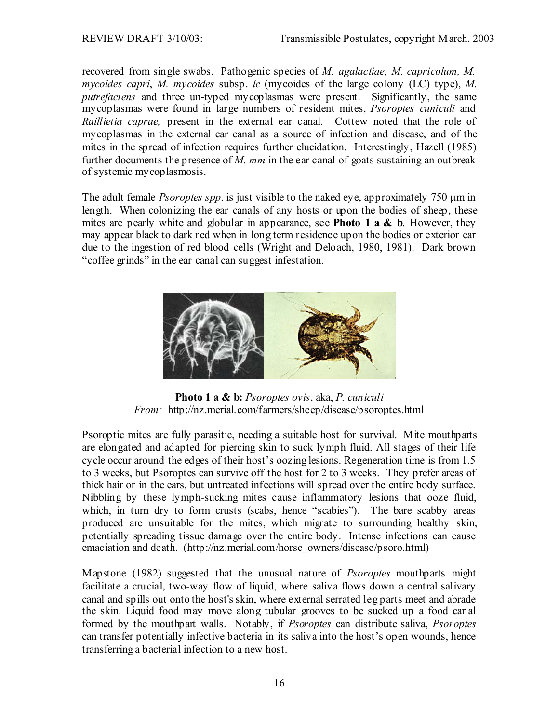recovered from single swabs. Pathogenic species of *M. agalactiae, M. capricolum, M. mycoides capri*, *M. mycoides* subsp. *lc* (mycoides of the large colony (LC) type), *M. putrefaciens* and three un-typed mycoplasmas were present. Significantly, the same mycoplasmas were found in large numbers of resident mites, *Psoroptes cuniculi* and *Raillietia caprae,* present in the external ear canal. Cottew noted that the role of mycoplasmas in the external ear canal as a source of infection and disease, and of the mites in the spread of infection requires further elucidation. Interestingly, Hazell (1985) further documents the presence of *M. mm* in the ear canal of goats sustaining an outbreak of systemic mycoplasmosis.

The adult female *Psoroptes spp*. is just visible to the naked eye, approximately 750 µm in length. When colonizing the ear canals of any hosts or upon the bodies of sheep, these mites are pearly white and globular in appearance, see **Photo 1 a & b**. However, they may appear black to dark red when in long term residence upon the bodies or exterior ear due to the ingestion of red blood cells (Wright and Deloach, 1980, 1981). Dark brown "coffee grinds" in the ear canal can suggest infestation.



**Photo 1 a & b:** *Psoroptes ovis*, aka, *P. cuniculi From:* http://nz.merial.com/farmers/sheep/disease/psoroptes.html

Psoroptic mites are fully parasitic, needing a suitable host for survival. Mite mouthparts are elongated and adapted for piercing skin to suck lymph fluid. All stages of their life cycle occur around the edges of their host's oozing lesions. Regeneration time is from 1.5 to 3 weeks, but Psoroptes can survive off the host for 2 to 3 weeks. They prefer areas of thick hair or in the ears, but untreated infections will spread over the entire body surface. Nibbling by these lymph-sucking mites cause inflammatory lesions that ooze fluid, which, in turn dry to form crusts (scabs, hence "scabies"). The bare scabby areas produced are unsuitable for the mites, which migrate to surrounding healthy skin, potentially spreading tissue damage over the entire body. Intense infections can cause emaciation and death. (http://nz.merial.com/horse\_owners/disease/psoro.html)

Mapstone (1982) suggested that the unusual nature of *Psoroptes* mouthparts might facilitate a crucial, two-way flow of liquid, where saliva flows down a central salivary canal and spills out onto the host's skin, where external serrated leg parts meet and abrade the skin. Liquid food may move along tubular grooves to be sucked up a food canal formed by the mouthpart walls. Notably, if *Psoroptes* can distribute saliva, *Psoroptes* can transfer potentially infective bacteria in its saliva into the host's open wounds, hence transferring a bacterial infection to a new host.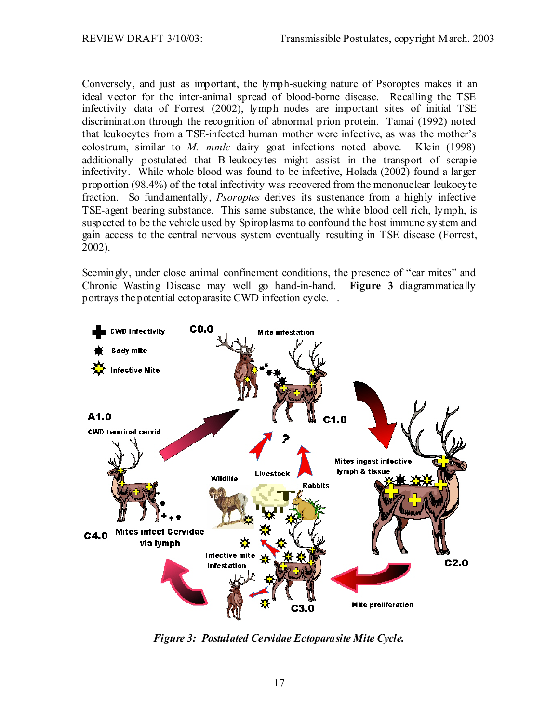Conversely, and just as important, the lymph-sucking nature of Psoroptes makes it an ideal vector for the inter-animal spread of blood-borne disease. Recalling the TSE infectivity data of Forrest (2002), lymph nodes are important sites of initial TSE discrimination through the recognition of abnormal prion protein. Tamai (1992) noted that leukocytes from a TSE-infected human mother were infective, as was the mother's colostrum, similar to *M. mmlc* dairy goat infections noted above. Klein (1998) additionally postulated that B-leukocytes might assist in the transport of scrapie infectivity. While whole blood was found to be infective, Holada (2002) found a larger proportion (98.4%) of the total infectivity was recovered from the mononuclear leukocyte fraction. So fundamentally, *Psoroptes* derives its sustenance from a highly infective TSE-agent bearing substance. This same substance, the white blood cell rich, lymph, is suspected to be the vehicle used by Spiroplasma to confound the host immune system and gain access to the central nervous system eventually resulting in TSE disease (Forrest, 2002).

Seemingly, under close animal confinement conditions, the presence of "ear mites" and Chronic Wasting Disease may well go hand-in-hand. **Figure 3** diagrammatically portrays the potential ectoparasite CWD infection cycle. .



*Figure 3: Postulated Cervidae Ectoparasite Mite Cycle.*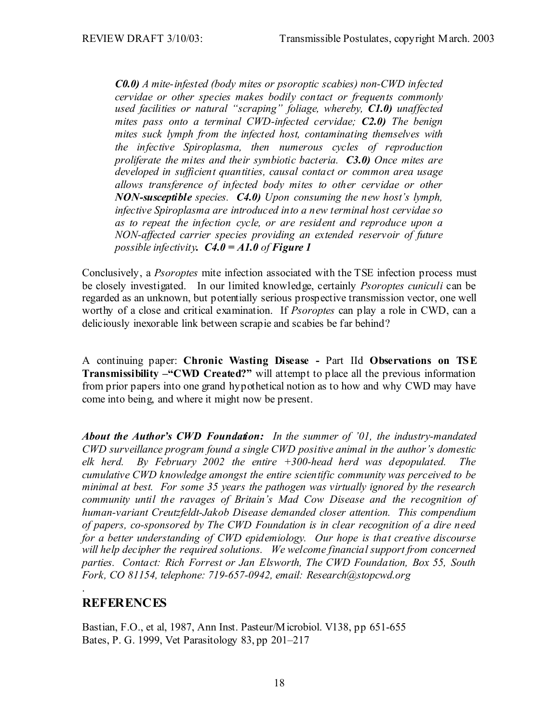*C0.0) A mite-infested (body mites or psoroptic scabies) non-CWD infected cervidae or other species makes bodily contact or frequents commonly used facilities or natural "scraping" foliage, whereby, C1.0) unaffected mites pass onto a terminal CWD-infected cervidae; C2.0) The benign mites suck lymph from the infected host, contaminating themselves with the infective Spiroplasma, then numerous cycles of reproduction proliferate the mites and their symbiotic bacteria. C3.0) Once mites are developed in sufficient quantities, causal contact or common area usage allows transference of infected body mites to other cervidae or other NON-susceptible species. C4.0) Upon consuming the new host's lymph, infective Spiroplasma are introduced into a new terminal host cervidae so as to repeat the infection cycle, or are resident and reproduce upon a NON-affected carrier species providing an extended reservoir of future possible infectivity. C4.0 = A1.0 of Figure 1*

Conclusively, a *Psoroptes* mite infection associated with the TSE infection process must be closely investigated. In our limited knowledge, certainly *Psoroptes cuniculi* can be regarded as an unknown, but potentially serious prospective transmission vector, one well worthy of a close and critical examination. If *Psoroptes* can play a role in CWD, can a deliciously inexorable link between scrapie and scabies be far behind?

A continuing paper: **Chronic Wasting Disease -** Part IId **Observations on TSE Transmissibility –"CWD Created?"** will attempt to place all the previous information from prior papers into one grand hypothetical notion as to how and why CWD may have come into being, and where it might now be present.

*About the Author's CWD Foundation: In the summer of '01, the industry-mandated CWD surveillance program found a single CWD positive animal in the author's domestic elk herd. By February 2002 the entire +300-head herd was depopulated. The cumulative CWD knowledge amongst the entire scientific community was perceived to be minimal at best. For some 35 years the pathogen was virtually ignored by the research community until the ravages of Britain's Mad Cow Disease and the recognition of human-variant Creutzfeldt-Jakob Disease demanded closer attention. This compendium of papers, co-sponsored by The CWD Foundation is in clear recognition of a dire need for a better understanding of CWD epidemiology. Our hope is that creative discourse will help decipher the required solutions. We welcome financial support from concerned parties. Contact: Rich Forrest or Jan Elsworth, The CWD Foundation, Box 55, South Fork, CO 81154, telephone: 719-657-0942, email: Research@stopcwd.org* 

# **REFERENCES**

.

Bastian, F.O., et al, 1987, Ann Inst. Pasteur/Microbiol. V138, pp 651-655 Bates, P. G. 1999, Vet Parasitology 83, pp 201–217